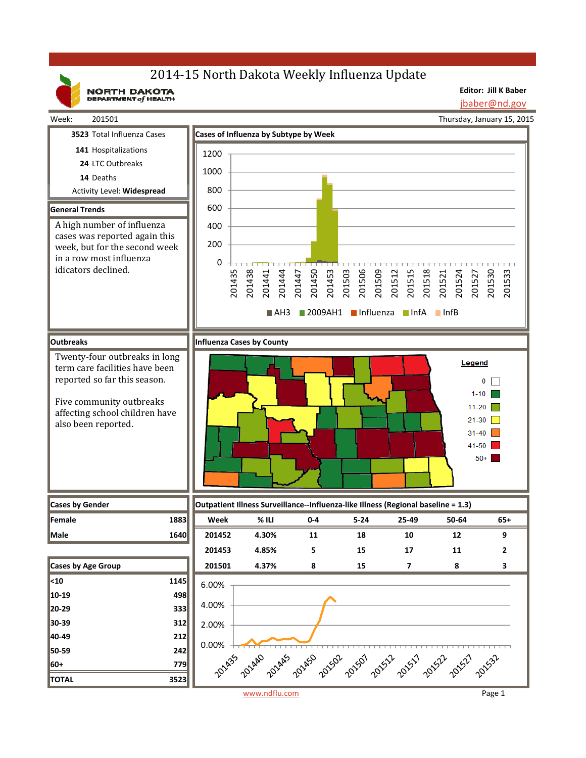# 2014-15 North Dakota Weekly Influenza Update

NORTH DAKOTA

**Editor: Jill K Baber** jbaber@nd.gov

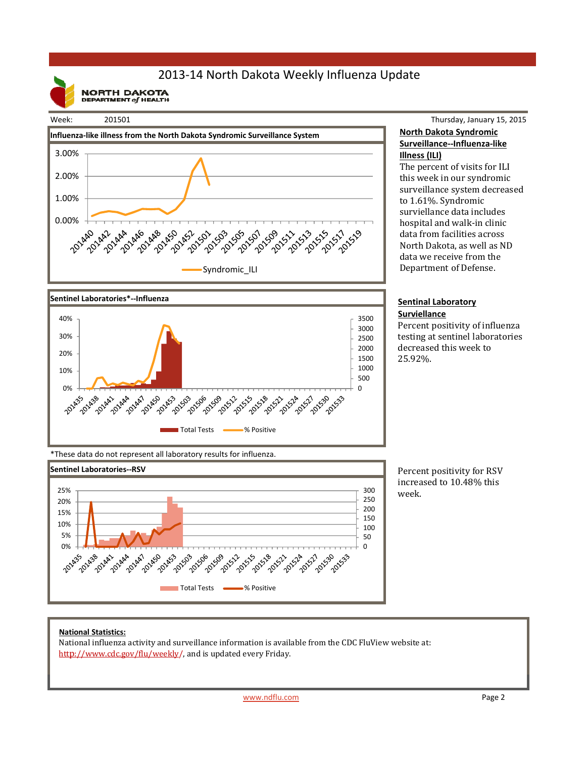## 2013‐14 North Dakota Weekly Influenza Update

**NORTH DAKOTA**<br>DEPARTMENT of HEALTH







### Thursday, January 15, 2015 **North Dakota Syndromic Surveillance‐‐Influenza‐like Illness (ILI)**

The percent of visits for ILI this week in our syndromic surveillance system decreased to 1.61%. Syndromic surviellance data includes hospital and walk-in clinic data from facilities across North Dakota, as well as ND data we receive from the Department of Defense.

#### **Sentinal Laboratory Surviellance**

Percent positivity of influenza testing at sentinel laboratories decreased this week to 25.92%. 

\*These data do not represent all laboratory results for influenza.



Percent positivity for RSV increased to 10.48% this week. 

### **National Statistics:**

National influenza activity and surveillance information is available from the CDC FluView website at: http://www.cdc.gov/flu/weekly/, and is updated every Friday.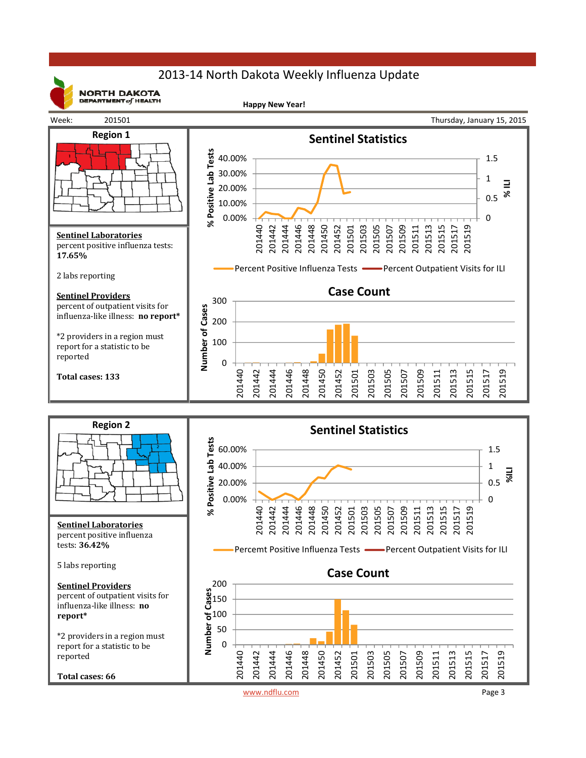# 2013‐14 North Dakota Weekly Influenza Update



**NORTH DAKOTA** DEPARTMENT  $of$  HEALTH

**Happy New Year!**